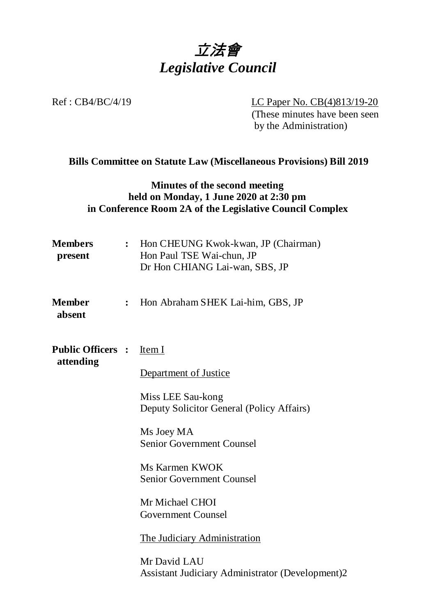

Ref : CB4/BC/4/19 LC Paper No. CB(4)813/19-20

(These minutes have been seen by the Administration)

## **Bills Committee on Statute Law (Miscellaneous Provisions) Bill 2019**

### **Minutes of the second meeting held on Monday, 1 June 2020 at 2:30 pm in Conference Room 2A of the Legislative Council Complex**

| <b>Members</b><br>present             |                | : Hon CHEUNG Kwok-kwan, JP (Chairman)<br>Hon Paul TSE Wai-chun, JP<br>Dr Hon CHIANG Lai-wan, SBS, JP |
|---------------------------------------|----------------|------------------------------------------------------------------------------------------------------|
| <b>Member</b><br>absent               | $\ddot{\cdot}$ | Hon Abraham SHEK Lai-him, GBS, JP                                                                    |
| <b>Public Officers :</b><br>attending |                | Item I                                                                                               |
|                                       |                | Department of Justice                                                                                |
|                                       |                | Miss LEE Sau-kong<br>Deputy Solicitor General (Policy Affairs)                                       |
|                                       |                | Ms Joey MA<br><b>Senior Government Counsel</b>                                                       |
|                                       |                | Ms Karmen KWOK<br><b>Senior Government Counsel</b>                                                   |
|                                       |                | Mr Michael CHOI<br><b>Government Counsel</b>                                                         |
|                                       |                | The Judiciary Administration                                                                         |
|                                       |                | Mr David LAU<br><b>Assistant Judiciary Administrator (Development)2</b>                              |
|                                       |                |                                                                                                      |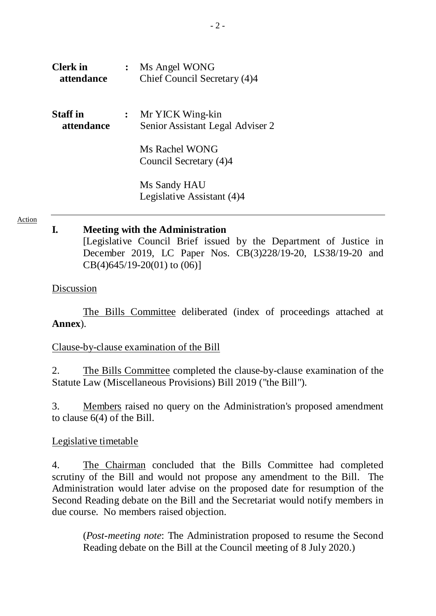| <b>Clerk</b> in<br>attendance |                | Ms Angel WONG<br>Chief Council Secretary (4)4        |
|-------------------------------|----------------|------------------------------------------------------|
| <b>Staff</b> in<br>attendance | $\ddot{\cdot}$ | Mr YICK Wing-kin<br>Senior Assistant Legal Adviser 2 |
|                               |                | Ms Rachel WONG<br>Council Secretary (4)4             |
|                               |                | Ms Sandy HAU<br>Legislative Assistant (4)4           |

#### Action

#### **I. Meeting with the Administration**

[Legislative Council Brief issued by the Department of Justice in December 2019, LC Paper Nos. CB(3)228/19-20, LS38/19-20 and  $CB(4)645/19-20(01)$  to  $(06)$ ]

#### Discussion

The Bills Committee deliberated (index of proceedings attached at **Annex**).

#### Clause-by-clause examination of the Bill

2. The Bills Committee completed the clause-by-clause examination of the Statute Law (Miscellaneous Provisions) Bill 2019 ("the Bill").

3. Members raised no query on the Administration's proposed amendment to clause 6(4) of the Bill.

#### Legislative timetable

4. The Chairman concluded that the Bills Committee had completed scrutiny of the Bill and would not propose any amendment to the Bill. The Administration would later advise on the proposed date for resumption of the Second Reading debate on the Bill and the Secretariat would notify members in due course. No members raised objection.

(*Post-meeting note*: The Administration proposed to resume the Second Reading debate on the Bill at the Council meeting of 8 July 2020.)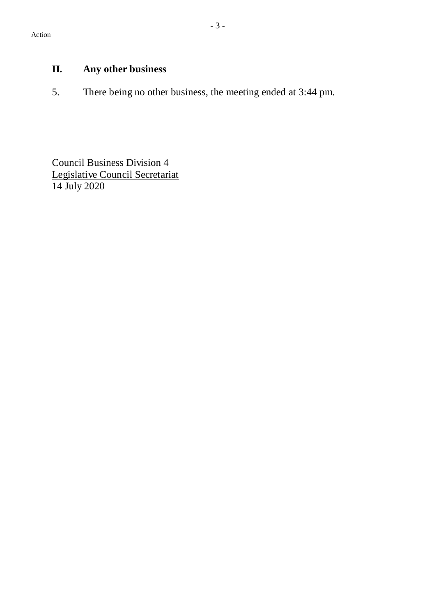# **II. Any other business**

5. There being no other business, the meeting ended at 3:44 pm.

Council Business Division 4 Legislative Council Secretariat 14 July 2020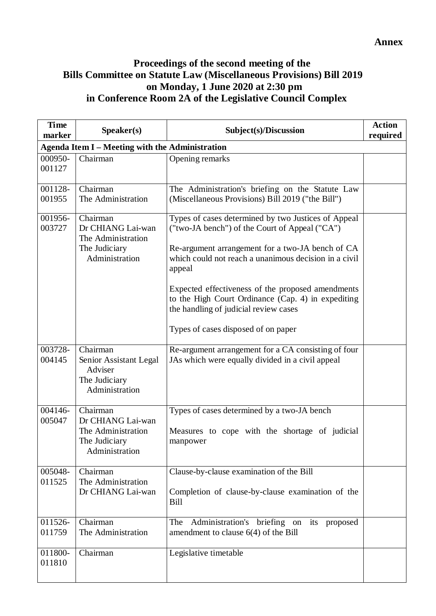# **Proceedings of the second meeting of the Bills Committee on Statute Law (Miscellaneous Provisions) Bill 2019 on Monday, 1 June 2020 at 2:30 pm in Conference Room 2A of the Legislative Council Complex**

| <b>Time</b><br>marker                                  | Speaker(s)                                                                             | Subject(s)/Discussion                                                                                                                                                                                                                                                                                                                                                                                                   | <b>Action</b><br>required |  |  |  |  |
|--------------------------------------------------------|----------------------------------------------------------------------------------------|-------------------------------------------------------------------------------------------------------------------------------------------------------------------------------------------------------------------------------------------------------------------------------------------------------------------------------------------------------------------------------------------------------------------------|---------------------------|--|--|--|--|
| <b>Agenda Item I - Meeting with the Administration</b> |                                                                                        |                                                                                                                                                                                                                                                                                                                                                                                                                         |                           |  |  |  |  |
| 000950-<br>001127                                      | Chairman                                                                               | Opening remarks                                                                                                                                                                                                                                                                                                                                                                                                         |                           |  |  |  |  |
| 001128-<br>001955                                      | Chairman<br>The Administration                                                         | The Administration's briefing on the Statute Law<br>(Miscellaneous Provisions) Bill 2019 ("the Bill")                                                                                                                                                                                                                                                                                                                   |                           |  |  |  |  |
| 001956-<br>003727                                      | Chairman<br>Dr CHIANG Lai-wan<br>The Administration<br>The Judiciary<br>Administration | Types of cases determined by two Justices of Appeal<br>("two-JA bench") of the Court of Appeal ("CA")<br>Re-argument arrangement for a two-JA bench of CA<br>which could not reach a unanimous decision in a civil<br>appeal<br>Expected effectiveness of the proposed amendments<br>to the High Court Ordinance (Cap. 4) in expediting<br>the handling of judicial review cases<br>Types of cases disposed of on paper |                           |  |  |  |  |
| 003728-<br>004145                                      | Chairman<br>Senior Assistant Legal<br>Adviser<br>The Judiciary<br>Administration       | Re-argument arrangement for a CA consisting of four<br>JAs which were equally divided in a civil appeal                                                                                                                                                                                                                                                                                                                 |                           |  |  |  |  |
| 004146-<br>005047                                      | Chairman<br>Dr CHIANG Lai-wan<br>The Administration<br>The Judiciary<br>Administration | Types of cases determined by a two-JA bench<br>Measures to cope with the shortage of judicial<br>manpower                                                                                                                                                                                                                                                                                                               |                           |  |  |  |  |
| 005048-<br>011525                                      | Chairman<br>The Administration<br>Dr CHIANG Lai-wan                                    | Clause-by-clause examination of the Bill<br>Completion of clause-by-clause examination of the<br>Bill                                                                                                                                                                                                                                                                                                                   |                           |  |  |  |  |
| 011526-<br>011759                                      | Chairman<br>The Administration                                                         | Administration's briefing on<br>The<br>its<br>proposed<br>amendment to clause $6(4)$ of the Bill                                                                                                                                                                                                                                                                                                                        |                           |  |  |  |  |
| 011800-<br>011810                                      | Chairman                                                                               | Legislative timetable                                                                                                                                                                                                                                                                                                                                                                                                   |                           |  |  |  |  |